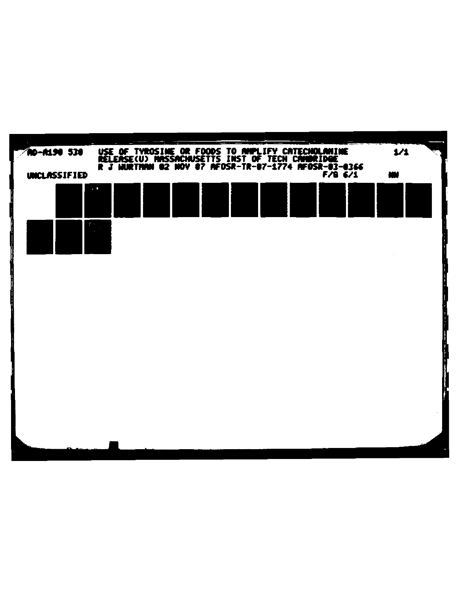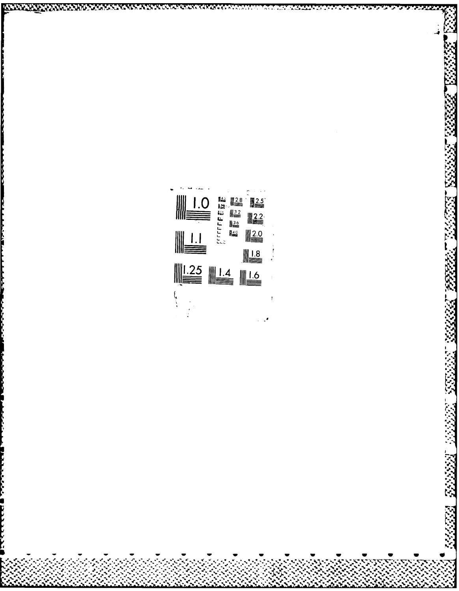

i.

**REER** 

333

333 333333

**MARKANANANA**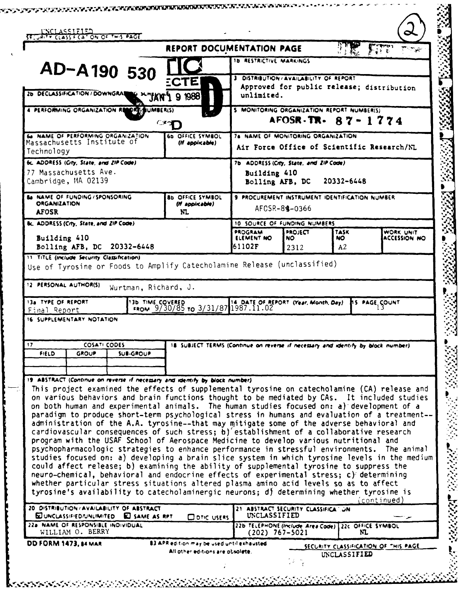| <b>INCLASSIFIED</b><br>550 JAIFY CLASSIFCATION OF THIS PAGE                                                                                                                                                                                                                                                                                                                                                                                                                                                                                                                                                                                                                                                                                                                                                                                                                                                                                                                                                                                                                                                                                                                                                                                            | REPORT DOCUMENTATION PAGE                                                          |                              |                                                                                  |                    | <b>The Physic</b><br>大江市  |
|--------------------------------------------------------------------------------------------------------------------------------------------------------------------------------------------------------------------------------------------------------------------------------------------------------------------------------------------------------------------------------------------------------------------------------------------------------------------------------------------------------------------------------------------------------------------------------------------------------------------------------------------------------------------------------------------------------------------------------------------------------------------------------------------------------------------------------------------------------------------------------------------------------------------------------------------------------------------------------------------------------------------------------------------------------------------------------------------------------------------------------------------------------------------------------------------------------------------------------------------------------|------------------------------------------------------------------------------------|------------------------------|----------------------------------------------------------------------------------|--------------------|---------------------------|
| AD-A190 530                                                                                                                                                                                                                                                                                                                                                                                                                                                                                                                                                                                                                                                                                                                                                                                                                                                                                                                                                                                                                                                                                                                                                                                                                                            |                                                                                    | 16 RESTRICTIVE MARKINGS      |                                                                                  |                    |                           |
|                                                                                                                                                                                                                                                                                                                                                                                                                                                                                                                                                                                                                                                                                                                                                                                                                                                                                                                                                                                                                                                                                                                                                                                                                                                        |                                                                                    |                              | 3 DISTRIBUTION / AVAILABILITY OF REPORT                                          |                    |                           |
| 2b DECLASSIFICATION / DOWNGRAM                                                                                                                                                                                                                                                                                                                                                                                                                                                                                                                                                                                                                                                                                                                                                                                                                                                                                                                                                                                                                                                                                                                                                                                                                         | $k^{\star}$ JAN 1 9 1988                                                           | unlimited.                   | Approved for public release; distribution                                        |                    |                           |
| 4 PERFORMING ORGANIZATION RESORTINGER(S)                                                                                                                                                                                                                                                                                                                                                                                                                                                                                                                                                                                                                                                                                                                                                                                                                                                                                                                                                                                                                                                                                                                                                                                                               |                                                                                    |                              | 5 MONITORING ORGANIZATION REPORT NUMBER(S)                                       |                    |                           |
|                                                                                                                                                                                                                                                                                                                                                                                                                                                                                                                                                                                                                                                                                                                                                                                                                                                                                                                                                                                                                                                                                                                                                                                                                                                        | くざつ                                                                                |                              | $AFOSR - TR - 87 - 1774$                                                         |                    |                           |
| 64 NAME OF PERFORMING ORGANIZATION<br>Massachusetts Institute of<br>Technology                                                                                                                                                                                                                                                                                                                                                                                                                                                                                                                                                                                                                                                                                                                                                                                                                                                                                                                                                                                                                                                                                                                                                                         | 60 OFFICE SYMBOL<br>(If applicable)                                                |                              | 78 NAME OF MONITORING ORGANIZATION<br>Air Force Office of Scientific Research/NL |                    |                           |
| 6c. ADDRESS (City, State, and ZIP Code)                                                                                                                                                                                                                                                                                                                                                                                                                                                                                                                                                                                                                                                                                                                                                                                                                                                                                                                                                                                                                                                                                                                                                                                                                |                                                                                    |                              | 7b ADDRESS (City, State, and ZIP Code)                                           |                    |                           |
| 77 Massachusetts Ave.<br>Cambridge, MA 02139                                                                                                                                                                                                                                                                                                                                                                                                                                                                                                                                                                                                                                                                                                                                                                                                                                                                                                                                                                                                                                                                                                                                                                                                           |                                                                                    | Building 410                 | Bolling AFB, DC                                                                  | 20332-6448         |                           |
| <b>BA NAME OF FUNDING / SPONSORING</b><br><b>ORGANIZATION</b><br><b>AFOSR</b>                                                                                                                                                                                                                                                                                                                                                                                                                                                                                                                                                                                                                                                                                                                                                                                                                                                                                                                                                                                                                                                                                                                                                                          | <b>Bb OFFICE SYMBOL</b><br>(If appirable)<br>NL.                                   |                              | 9 PROCUREMENT INSTRUMENT IDENTIFICATION NUMBER<br>AFCSR-84-0366                  |                    |                           |
| Bc. ADDRESS (City, State, and ZIP Code)                                                                                                                                                                                                                                                                                                                                                                                                                                                                                                                                                                                                                                                                                                                                                                                                                                                                                                                                                                                                                                                                                                                                                                                                                |                                                                                    |                              | 10 SOURCE OF FUNDING NUMBERS                                                     |                    |                           |
| Building 410                                                                                                                                                                                                                                                                                                                                                                                                                                                                                                                                                                                                                                                                                                                                                                                                                                                                                                                                                                                                                                                                                                                                                                                                                                           |                                                                                    | PROGRAM<br><b>ELEMENT NO</b> | <b>PROJECT</b><br>NO.                                                            | <b>TASK</b><br>NO. | WORK UNIT<br>ACCESSION NO |
| Bolling AFB, DC<br>20332-6448                                                                                                                                                                                                                                                                                                                                                                                                                                                                                                                                                                                                                                                                                                                                                                                                                                                                                                                                                                                                                                                                                                                                                                                                                          |                                                                                    | 61102F                       | 2312                                                                             | A <sub>2</sub>     |                           |
| Wurtman, Richard, J.<br>13b TIME COVERED                                                                                                                                                                                                                                                                                                                                                                                                                                                                                                                                                                                                                                                                                                                                                                                                                                                                                                                                                                                                                                                                                                                                                                                                               |                                                                                    |                              |                                                                                  |                    | <b>IS PAGE COUNT</b>      |
|                                                                                                                                                                                                                                                                                                                                                                                                                                                                                                                                                                                                                                                                                                                                                                                                                                                                                                                                                                                                                                                                                                                                                                                                                                                        | 3b TIME COVERED 14 DATE OF REPORT (Year, Month, Day)                               |                              |                                                                                  |                    |                           |
| COSATI CODES                                                                                                                                                                                                                                                                                                                                                                                                                                                                                                                                                                                                                                                                                                                                                                                                                                                                                                                                                                                                                                                                                                                                                                                                                                           | 18. SUBJECT TERMS (Continue on reverse if necessary and identify by block number). |                              |                                                                                  |                    |                           |
| <b>FIELD</b><br><b>GROUP</b><br><b>SUB-GROUP</b>                                                                                                                                                                                                                                                                                                                                                                                                                                                                                                                                                                                                                                                                                                                                                                                                                                                                                                                                                                                                                                                                                                                                                                                                       |                                                                                    |                              |                                                                                  |                    |                           |
|                                                                                                                                                                                                                                                                                                                                                                                                                                                                                                                                                                                                                                                                                                                                                                                                                                                                                                                                                                                                                                                                                                                                                                                                                                                        |                                                                                    |                              |                                                                                  |                    |                           |
| This project examined the effects of supplemental tyrosine on catecholamine (CA) release and<br>on various behaviors and brain functions thought to be mediated by CAs. It included studies<br>on both human and experimental animals. The human studies focused on: a) development of a<br>paradigm to produce short-term psychological stress in humans and evaluation of a treatment--<br>administration of the A.A. tyrosine--that may mitigate some of the adverse behavioral and<br>cardiovascular consequences of such stress; b) establishment of a collaborative research<br>program with the USAF School of Aerospace Medicine to develop various nutritional and<br>psychopharmacologic strategies to enhance performance in stressful environments. The animal<br>studies focused on: a) developing a brain slice system in which tyrosine levels in the medium<br>could affect release; b) examining the ability of supplemental tyrosine to suppress the<br>neuro-chemical, behavioral and endocrine effects of experimental stress; c) determining<br>whether particular stress situations altered plasma amino acid levels so as to affect<br>tyrosine's availability to catecholaminergic neurons; d) determining whether tyrosine is |                                                                                    |                              |                                                                                  |                    |                           |
| ED UNCLASSIFIED/UNLIMITED ED SAME AS RPT                                                                                                                                                                                                                                                                                                                                                                                                                                                                                                                                                                                                                                                                                                                                                                                                                                                                                                                                                                                                                                                                                                                                                                                                               | ODTIC USERS                                                                        | UNCLASSIFIED                 | 21 ADSTRACT SECURITY CLASSIFICATION                                              |                    | (conti <b>nued)</b>       |
| 11 TITLE (include Security Classification)<br>Use of Tyrosine or Foods to Amplify Catecholamine Release (unclassified)<br>12 PERSONAL AUTHOR(S)<br>13a TYPE OF REPORT<br>Final Report<br>16 SUPPLEMENTARY NOTATION<br>17<br>19 ABSTRACT (Continue on reverse if necessary and identify by block number).<br>20 DISTRIBUTION / AVAILABILITY OF ABSTRACT<br>22a NAME OF RESPONSIBLE INDIVIDUAL<br>WILLIAM O. BERRY                                                                                                                                                                                                                                                                                                                                                                                                                                                                                                                                                                                                                                                                                                                                                                                                                                       |                                                                                    |                              | 22b TELEPHONE (Include Area Code) 22c OFFICE SYMBOL<br>$(202)$ 767-5021          | NL.                |                           |

.<br>Ta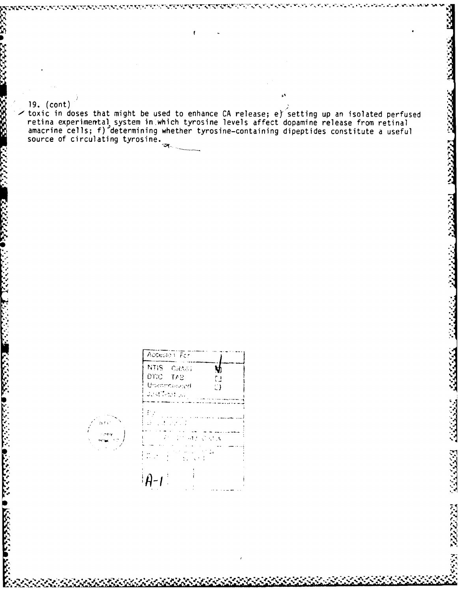**19.** (cont)

53333

**REAGENERS OF ACCESS OF ACTIVITY OF ACCESS** 

f toxic in doses that might be used to enhance CA release; e}<sup>2</sup> setting up an isolated perfused<br>retina experimental system in which tyrosine levels affect dopamine release from retinal amacrine cells; f) determining whether tyrosine-containing dipeptides constitute a useful source of circulating tyrosine.

<u>ی زرد در در ۱۲</u>

222222 122222

531 3222222

Ť

| Accesion For                                                                                    |                       |          |  |
|-------------------------------------------------------------------------------------------------|-----------------------|----------|--|
| NTIS CRASS<br>DTIC TAB<br>Unannoinneed<br>Justification.                                        |                       | Γļ<br>n) |  |
| $\mathcal{L}^{\mathcal{A}}$ , and $\mathcal{L}^{\mathcal{A}}$ , and $\mathcal{L}^{\mathcal{A}}$ |                       |          |  |
|                                                                                                 | 对 全国社会贸易              |          |  |
| $\overline{\mathbb{Z}}$ , $\overline{\mathbb{Z}}$                                               | 经非正规 医水杨酸<br>しんかん くちす |          |  |
|                                                                                                 |                       |          |  |

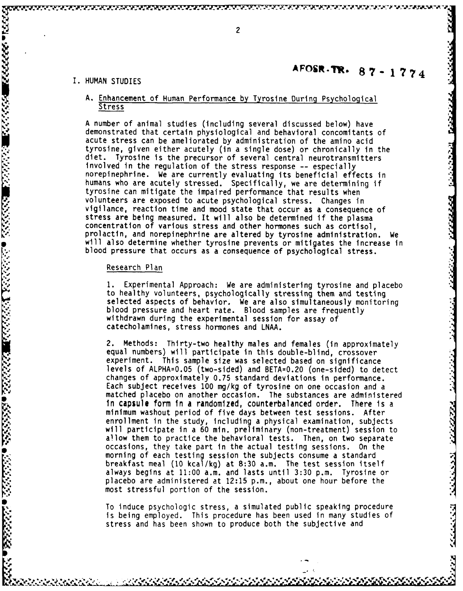# **AFOSR.Th. 87 - 1774**

## I. HUMAN STUDIES

# A. Enhancement of Human Performance by Tyrosine During Psychological<br>Stress

A number of animal studies (including several discussed below) have demonstrated that certain physiological and behavioral concomitants of acute stress can be ameliorated by administration of the amino acid tyrosine, given either acutely (in a single dose) or chronically in the diet. Tyrosine is the precursor of several central neurotransmitters involved in the regulation of the stress response **--** especially norepinephrine. We are currently evaluating its beneficial effects in humans who are acutely stressed. Specifically, we are determining if tyrosine can mitigate the impaired performance that results when volunteers are exposed to acute psychological stress. Changes in vigilance, reaction time and mood state that occur as a consequence of stress are being measured. It will also be determined if the plasma concentration of various stress and other hormones such as cortisol, prolactin, and norepinephrine are altered by tyrosine administration. will also determine whether tyrosine prevents or mitigates the increase in blood pressure that occurs as a consequence of psychological stress.

## Research Plan

**ACCESS AND ACCESS AND ACCESS AND ACCESS AND ACCESS AND ACCESS AND ACCESS AND ACCESS AND ACCESS AND ACCESS AND ACCESS AND ACCESS AND ACCESS AND ACCESS AND ACCESS AND ACCESS AND ACCESS AND ACCESS AND ACCESS AND ACCESS AND A** 

**1.** Experimental Approach: We are administering tyrosine and placebo to healthy volunteers, psychologically stressing them and testing selected aspects of behavior. We are also simultaneously monitoring blood pressure and heart rate. Blood samples are frequently withdrawn during the experimental session for assay of catecholamines, stress hormones and LNAA.

2. Methods: Thirty-two healthy males and females (in approximately equal numbers) will participate in this double-blind, crossover experiment. This sample size was selected based on significance levels of ALPHA=O.05 (two-sided) and BETA=0.20 (one-sided) to detect changes of approximately 0.75 standard deviations in performance. Each subject receives 100 mg/kg of tyrosine on one occasion and a matched placebo on another occasion. The substances are administered in capsule form in a randomized, counterbalanced order. There is a minimum washout period of five days between test sessions. After enrollment in the study, including a physical examination, subjects will participate in a 60 min. preliminary (non-treatment) session to allow them to practice the behavioral tests. Then, on two separate occasions, they take part in the actual testing sessions. On the morning of each testing session the subjects consume a standard breakfast meal (10 kcal/kg) at **8:30** a.m. The test session itself always begins at 11:00 a.m. and lasts until 3:30 p.m. Tyrosine or placebo are administered at 12:15 p.m., about one hour before the most stressful portion of the session.

To induce psychologic stress, a simulated public speaking procedure is being employed. This procedure has been used in many studies of stress and has been shown to produce both the subjective and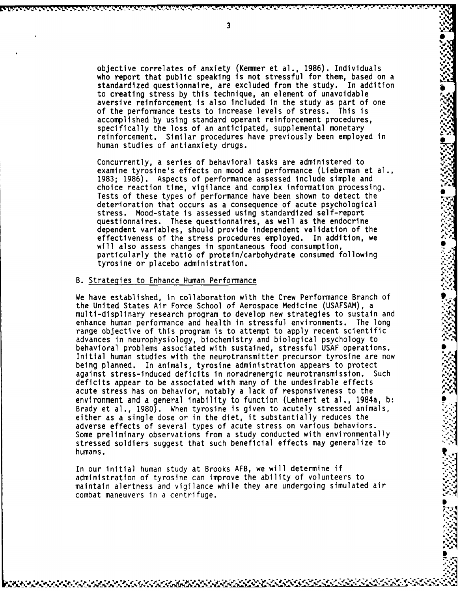objective correlates of anxiety (Kemmer et al., **1986).** Individuals who report that public speaking is not stressful for them, based on a standardized questionnaire, are excluded from the study. In addition to creating stress by this technique, an element of unavoidable aversive reinforcement is also included in the study as part of one of the performance tests to increase levels of stress. This is accomplished by using standard operant reinforcement procedures, specifically the loss of an anticipated, supplemental monetary reinforcement. Similar procedures have previously been employed in human studies of antianxiety drugs.

**•J %**

Concurrently, a series of behavioral tasks are administered to examine tyrosine's effects on mood and performance (Lieberman et al., 1983; 1986). Aspects of performance assessed include simple and choice reaction time, vigilance and complex information processing. Tests of these types of performance have been shown to detect the deterioration that occurs as a consequence of acute psychological stress. Mood-state is assessed using standardized self-report questionnaires. These questionnaires, as well as the endocrine dependent variables, should provide independent validation of the effectiveness of the stress procedures employed. In addition, we will also assess changes in spontaneous food consumption, particularly the ratio of protein/carbohydrate consumed following tyrosine or placebo administration.

### B. Strategies to Enhance Human Performance

We have established, in collaboration with the Crew Performance Branch of the United States Air Force School of Aerospace Medicine (USAFSAM), a multi-displinary research program to develop new strategies to sustain and enhance human performance and health in stressful environments. The long range objective of this program is to attempt to apply recent scientific advances in neurophysiology, biochemistry and biological psychology to behavioral problems associated with sustained, stressful USAF operations. **<sup>S</sup>** Initial human studies with the neurotransmitter precursor tyrosine are now being planned. In animals, tyrosine administration appears to protect against stress-induced deficits in noradrenergic neurotransmission. Such deficits appear to be associated with many of the undesirable effects<br>acute stress has on behavior, notably a lack of responsiveness to the<br>environment and a general inability to function (Lehnert et al., 1984a, b:<br>Brady e acute stress has on behavior, notably a lack of responsiveness to the environment and a general inability to function (Lehnert et al., 1984a, b: Brady et al., 1980). When tyrosine is given to acutely stressed animals, either as a single dose or in the diet, it substantially reduces the adverse effects of several types of acute stress on various behaviors. Some preliminary observations from a study conducted with environmentally stressed soldiers suggest that such beneficial effects may generalize to humans.

In our initial human study at Brooks AFB, we will determine if administration of tyrosine can improve the ability of volunteers to maintain alertness and vigilance while they are undergoing simulated air combat maneuvers in a centrifuge.

**3 \_**

lo

**,S%**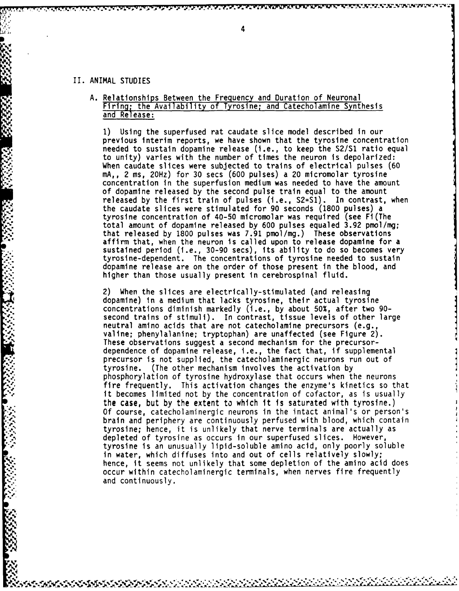### II. ANIMAL STUDIES

**N**

A. Relationships Between the Frequency and Duration of Neuronal Firing; the Availability of Tyrosine; and Catecholamine Synthesis and Release:

1) Using the superfused rat caudate slice model described in our previous interim reports, we have shown that the tyrosine concentration needed to sustain dopamine release (i.e., to keep the **S2/S1** ratio equal to unity) varies with the number of times the neuron is depolarized: When caudate slices were subjected to trains of electrical pulses (60 mA,, 2 ms, 20Hz) for 30 secs (600 pulses) a 20 micromolar tyrosine concentration in the superfusion medium was needed to have the amount of dopamine released by the second pulse train equal to the amount released by the first train of pulses (i.e., S2=S). In contrast, when the caudate slices were stimulated for **90** seconds (1800 pulses) a tyrosine concentration of 40-50 micromolar was required (see Fl(The total amount of dopamine released by 600 pulses equaled 3.92 pmol/mg; that released by 1800 pulses was 7.91 pmol/mg.) These observations affirm that, when the neuron is called upon to release dopamine for a sustained period (i.e., 30-90 secs), its ability to do so becomes very tyrosine-dependent. The concentrations of tyrosine needed to sustain dopamine release are on the order of those present in the blood, and higher than those usually present in cerebrospinal fluid.

2) When the slices are electrically-stimulated (and releasing dopamine) in a medium that lacks tyrosine, their actual tyrosine concentrations diminish markedly (i.e., by about 50%, after two **90** second trains of stimuli). In contrast, tissue levels of other large neutral amino acids that are not catecholamine precursors (e.g., valine; phenylalanine; tryptophan) are unaffected (see Figure 2). These observations suggest a second mechanism for the precursordependence of dopamine release, i.e., the fact that, if supplemental precursor is not supplied, the catecholaminergic neurons run out of tyrosine. (The other mechanism involves the activation by phosphorylation of tyrosine hydroxylase that occurs when the neurons fire frequently. This activation changes the enzyme's kinetics so that it becomes limited not by the concentration of cofactor, as is usually the case, but by the extent to which it is saturated with tyrosine.) Of course, catecholaminergic neurons in the intact animal's or person's brain and periphery are continuously perfused with blood, which contain tyrosine; hence, it is unlikely that nerve terminals are actually as depleted of tyrosine as occurs in our superfused slices. However, tyrosine Is an unusually lipid-soluble amino acid, only poorly soluble in water, which diffuses into and out of cells relatively slowly; hence, it seems not unlikely that some depletion of the amino acid does occur within catecholaminergic terminals, when nerves fire frequently and continuously.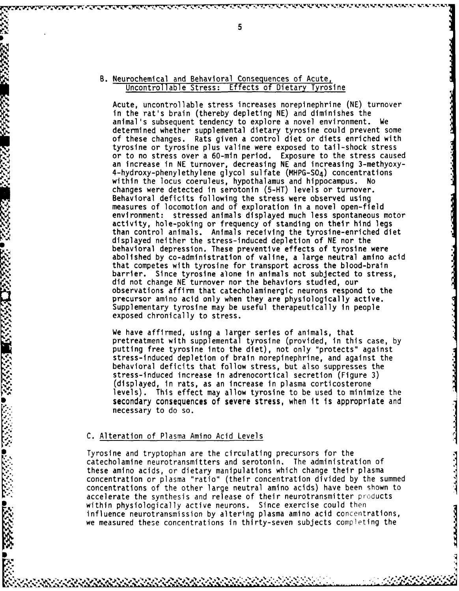## B. Neurochemical and Behavioral Consequences of Acute, Uncontrollable Stress: Effects of Dietary Tyrosine

Acute, uncontrollable stress increases norepinephrine (NE) turnover in the rat's brain (thereby depleting NE) and diminishes the animal's subsequent tendency to explore a novel environment. We determined whether supplemental dietary tyrosine could prevent some of these changes. Rats given a control diet or diets enriched with tyrosine or tyrosine plus valine were exposed to tail-shock stress or to no stress over a 60-min period. Exposure to the stress caused an increase in NE turnover, decreasing NE and increasing 3-methyoxy-4-hydroxy-phenylethylene glycol sulfate (MHPG-S04) concentrations within the locus coeruleus, hypothalamus and hippocampus. No changes were detected in serotonin (5-HT) levels or turnover. Behavioral deficits following the stress were observed using measures of locomotion and of exploration in a novel open-field environment: stressed animals displayed much less spontaneous motor activity, hole-poking or frequency of standing on their hind legs than control animals. Animals receiving the tyrosine-enriched diet displayed neither the stress-induced depletion of NE nor the behavioral depression. These preventive effects of tyrosine were abolished by co-administration of valine, a large neutral amino acid that competes with tyrosine for transport across the blood-brain barrier. Since tyrosine alone In animals not subjected to stress, did not change NE turnover nor the behaviors studied, our observations affirm that catecholaminergic neurons respond to the precursor amino acid only when they are physiologically active. Supplementary tyrosine may be useful therapeutically in people exposed chronically to stress.

We have affirmed, using a larger series of animals, that pretreatment with supplemental tyrosine (provided, in this case, by putting free tyrosine into the diet), not only "protects" against Supplementary tyrosine may be useful therapeutically in people<br>exposed chronically to stress.<br>We have affirmed, using a larger series of animals, that<br>pretreatment with supplemental tyrosine (provided, in this case,<br>puttin behavioral deficits that follow stress, but also suppresses the stress-induced increase in adrenocortical secretion (Figure 3) (displayed, in rats, as an increase in plasma corticosterone levels). This effect may allow tyrosine to be used to minimize the secondary consequences of severe stress, when it is appropriate and necessary to do so.

# C. Alteration of Plasma Amino Acid Levels

Tyrosine and tryptophan are the circulating precursors for the catecholamine neurotransmitters and serotonin. The administration of these amino acids, or dietary manipulations which change their plasma concentration or plasma "ratio" (their concentration divided by the summed concentrations of the other large neutral amino acids) have been shown to accelerate the synthesis and release of their neurotransmitter products within physiologically active neurons. Since exercise could then influence neurotransmission by altering plasma amino acid concentrations, we measured these concentrations in thirty-seven subjects completing the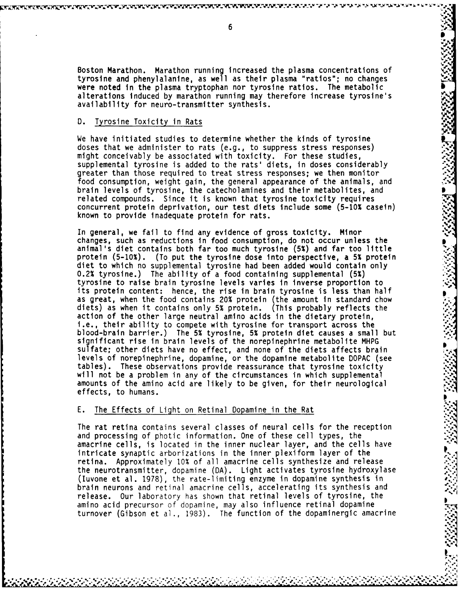**'V -. k -. 0-J6 1**

**,**

Boston Marathon. Marathon running increased the plasma concentrations of tyrosine and phenylalanine, as well as their plasma "ratios"; no changes were noted in the plasma tryptophan nor tyrosine ratios. The metabolic alterations induced by marathon running may therefore increase tyrosine's availability for neuro-transmitter synthesis.

# **D.** Tyrosine Toxicity in Rats

We have initiated studies to determine whether the kinds of tyrosine doses that we administer to rats (e.g., to suppress stress responses) might conceivably be associated with toxicity. For these studies, supplemental tyrosine is added to the rats' diets, in doses considerably greater than those required to treat stress responses; we then monitor food consumption, weight gain, the general appearance of the animals, and brain levels of tyrosine, the catecholamines and their metabolites, and related compounds. Since it is known that tyrosine toxicity requires concurrent protein deprivation, our test diets include some (5-10% casein) known to provide inadequate protein for rats.

In general, we fail to find any evidence of gross toxicity. Minor changes, such as reductions in food consumption, do not occur unless the animal's diet contains both far too much tyrosine (5%) and far too little protein **(5-10%).** (To put the tyrosine dose into perspective, a **5%** protein diet to which no supplemental tyrosine had been added would contain only 0.2% tyrosine.) The ability of a food containing supplemental (5%) tyrosine to raise brain tyrosine levels varies in inverse proportion to its protein content: hence, the rise in brain tyrosine is less than half as great, when the food contains 20% protein (the amount in standard chow diets) as when it contains only 5% protein. (This probably reflects the action of the other large neutral amino acids in the dietary protein, i.e., their ability to compete with tyrosine for transport across the blood-brain barrier.) The 5% tyrosine, **5%** protein diet causes a small but significant rise in brain levels of the norepinephrine metabolite MHPG sulfate; other diets have no effect, and none of the diets affects brain levels of norepinephrine, dopamine, or the dopamine metabolite DOPAC (see tables). These observations provide reassurance that tyrosine toxicity will not be a problem in any of the circumstances in which supplemental amounts of the amino acid are likely to be given, for their neurological effects, to humans.

## E. The Effects of Light on Retinal Dopamine in the Rat

The rat retina contains several classes of neural cells for the reception and processing of photic information. One of these cell types, the amacrine cells, is located in the inner nuclear layer, and the cells have intricate synaptic arborizations in the inner plexiform layer of the retina. Approximately 10% of all amacrine cells synthesize and release the neurotransmitter, dopamine (DA). Light activates tyrosine hydroxylase (Iuvone et al. 1978), the rate-limiting enzyme in dopamine synthesis in brain neurons and retinal amacrine cells, accelerating its synthesis and release. Our laboratory has shown that retinal levels of tyrosine, the amino acid precursor of dopamine, may also influence retinal dopamine turnover (Gibson et al., 1983). The function of the dopaminergic amacrine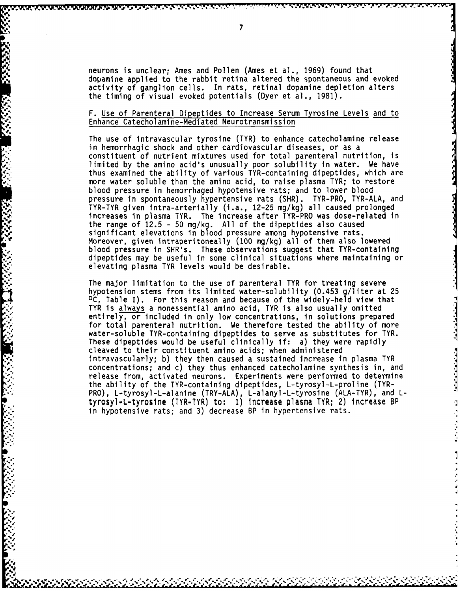. . .... . . . . .

**7**

neurons is unclear; Ames and Pollen (Ames et al., **1969)** found that dopamine applied to the rabbit retina altered the spontaneous and evoked activity of ganglion cells. In rats, retinal dopamine depletion alters the timing of visual evoked potentials (Dyer et al., 1981).

## F. Use of Parenteral Dipeptides to Increase Serum Tyrosine Levels and to Enhance Catecholamine-Mediated Neurotransmission

The use of intravascular tyrosine (TYR) to enhance catecholamine release in hemorrhagic shock and other cardiovascular diseases, or as a constituent of nutrient mixtures used for total parenteral nutrition, is limited **by** the amino acid's unusually poor solubility in water. We have thus examined the ability of various TYR-containing dipeptides, which are more water soluble than the amino acid, to raise plasma TYR; to restore blood pressure in hemorrhaged hypotensive rats; and to lower blood pressure in spontaneously hypertensive rats (SHR). TYR-PRO, TYR-ALA, and TYR-TYR given intra-arterially (i.a., **12-25** mg/kg) all caused prolonged increases in plasma TYR. The increase after TYR-PRO was dose-related in the range of **12.5** - 50 mg/kg. **All** of the dipeptides also caused significant elevations in blood pressure among hypotensive rats. Moreover, given intraperitoneally (100 mg/kg) all of them also lowered blood pressure in SHR's. These observations suggest that TYR-containing dipeptides may be useful in some clinical situations where maintaining or elevating plasma TYR levels would be desirable.

The major limitation to the use of parenteral TYR for treating severe hypotension stems from its limited water-solubility (0.453 g/liter at 25 **oC,** Table I). For this reason and because of the widely-held view that TYR is always a nonessential amino acid, TYR is also usually omitted entirely, or included in only low concentrations, in solutions prepared for total parenteral nutrition. We therefore tested the ability of more water-soluble TYR-containing dipeptides to serve as substitutes for TYR. These dipeptides would be useful clinically if: a) they were rapidly cleaved to their constituent amino acids; when administered intravascularly; b) they then caused a sustained increase in plasma TYR concentrations; and c) they thus enhanced catecholamine synthesis in, and release from, activated neurons. Experiments were performed to determine the ability of the TYR-containing dipeptides, L-tyrosyl-L-proline (TYR-PRO), L-tyrosyl-L-alanine (TRY-ALA), L-alanyl-L-tyrosine (ALA-TYR), and Ltyrosyl-L-tyroslne (TYR-TYR) to: **1)** increase plasma TYR: 2) increase BP in hypotensive rats; and 3) decrease BP in hypertensive rats.

**47.°**

333333

**.**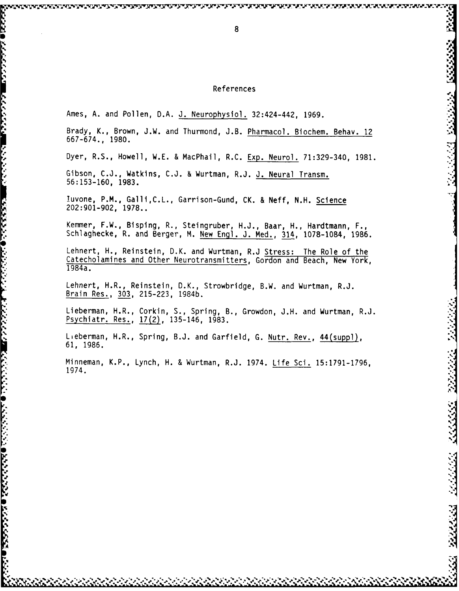## References

Ames, **A.** and Pollen, **D.A.** J. Neurophysiol. 32:424-442, 1969.

Brady, K., Brown, J.W. and Thurmond, J.B. Pharmacol. Biochem. Behav. 12 667-674., 1980.

Dyer, R.S., Howell, W.E. & MacPhail, R.C. Exp. Neurol. 71:329-340, 1981.

Gibson, C.J., Watkins, C.J. & Wurtman, R.J. J. Neural Transm. 56:153-160, 1983.

luvone, P.M., Galli,C.L., Garrison-Gund, CK. & Neff, N.H. Science 202:901-902, 1978..

Kemmer, F.W., Bisping, R., Steingruber, H.J., Baar, H., Hardtmann, F., Schlaghecke, R. and Berger, M. New Engl. J. Med., 314, 1078-1084, 1986.

Lehnert, H., Reinstein, D.K. and Wurtman, R.J Stress: The Role of the Catecholamines and Other Neurotransmitters, Gordon and Beach, New York, 1984a.

Lehnert, H.R., Reinstein, D.K., Strowbridge, B.W. and Wurtman, R.J. Brain Res., 303, 215-223, 1984b.

Lieberman, H.R., Corkin, **S.,** Spring, B., Growdon, J.H. and Wurtman, R.J. Psychiatr. Res., **17(2),** 135-146, 1983.

Lieberman, H.R., Spring, B.J. and Garfield, G. Nutr. Rev., 44(suppl), 61, 1986.

Minneman, K.P., Lynch, H. & Wurtman, R.J. 1974. Life Sci. 15:1791-1796, **-"** 1974.

**"1**

2222233

**SSS** 

1992 22222 22222

5\*.

**I**•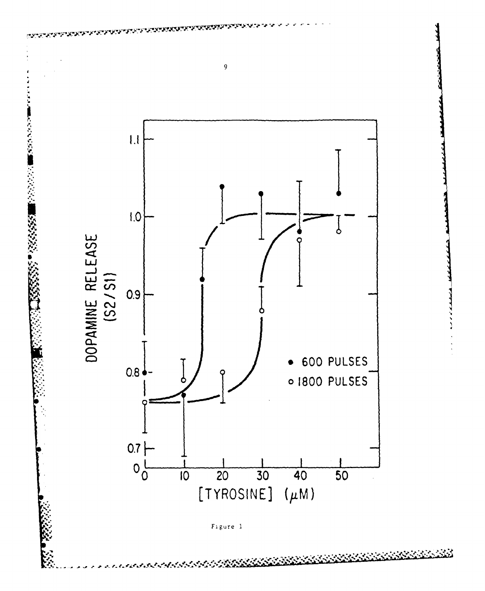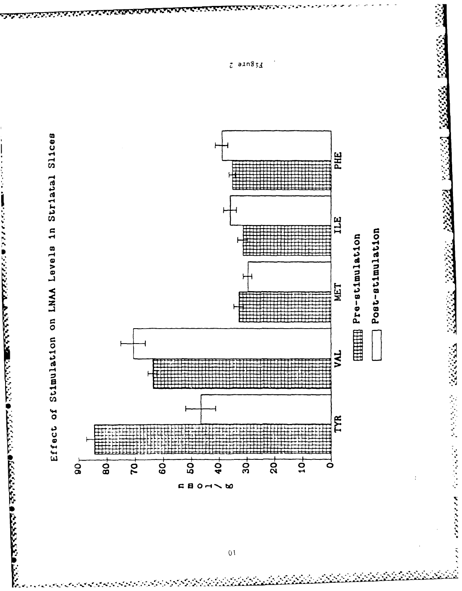

3335555

333333

**THERE IS NOW THAT IS NOT THE CONTRACTOR** 

 $\frac{1}{2}$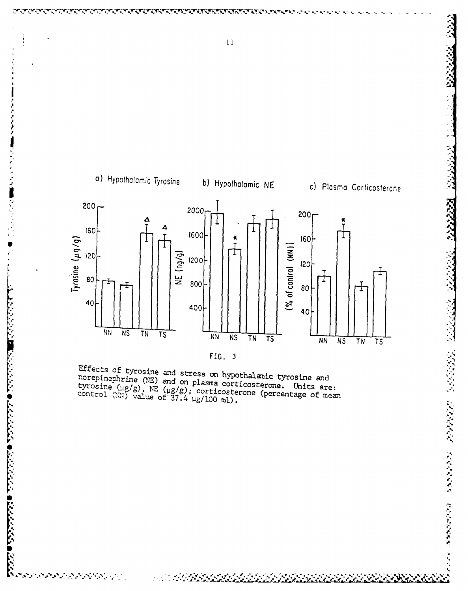

cyrosine (*ug/g*), NE (*µg/g*); corticosterone. Units are:<br>control (NN) value of 37.4 *ug/100* ml).

*'' <b>3 '' J~ I` J^ J^ J^ J^ J^*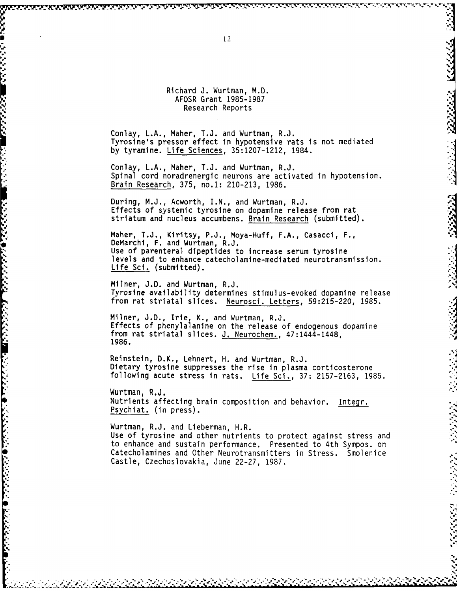Richard **J.** Wurtman, M.D. AFOSR Grant 1985-1987 **Research Reports .w**

Conlay, **L.A.,** Maher, **T.J.** and Wurtman, R.J. Tyrosine's pressor effect in hypotensive rats is not mediated **by** tyramine. Life Sciences, 35:1207-1212, 1984.

N'ANY EXPERIENCE

33333 333333 33333

经外交法 医全球

.- **Ve.**

Conlay, **L.A.,** Maher, **T.J.** and Wurtman, R.J. Spinal cord noradrenergic neurons are activated in hypotension. Brain Research, **375,** no.1: 210-213, 1986.

During, **M.J.,** Acworth, I.N., and Wurtman, R.J. Effects of systemic tyrosine on dopamine release from rat striatum and nucleus accumbens. Brain Research (submitted).

Maher, **T.J.,** Kiritsy, **P.J.,** Moya-Huff, **F.A.,** Casacci, F., DeMarchi, F. and Wurtman, R.J. Use of parenteral dipeptides to increase serum tyrosine levels and to enhance catecholamine-mediated neurotransmission. Life **Sci.** (submitted).

Milner, **J.D.** and Wurtman, R.J. Tyrosine availability determines stimulus-evoked dopamine release from rat striatal slices. Neurosci. Letters, 59:215-220, 1985.

Milner, **J.D.,** Irie, K., and Wurtman, R.J. Effects of phenylalanine on the release of endogenous dopamine from rat striatal slices. **J.** Neurochem., 47:1444-1448, **1986.**

Reinstein, D.K., Lehnert, H. and Wurtman, R.J. Dietary tyrosine suppresses the rise in plasma corticosterone following acute stress in rats. Life Sci., 37: 2157-2163, 1985.

Wurtman, R.J. Nutrients affecting brain composition and behavior. Integr. Psychiat. (in press).

Wurtman, R.J. and Lieberman, H.R. Use of tyrosine and other nutrients to protect against stress and to enhance and sustain performance. Presented to 4th Sympos. on Catecholamines and Other Neurotransmitters in Stress. Smolenice Castle, Czechoslovakia, June 22-27, 1987.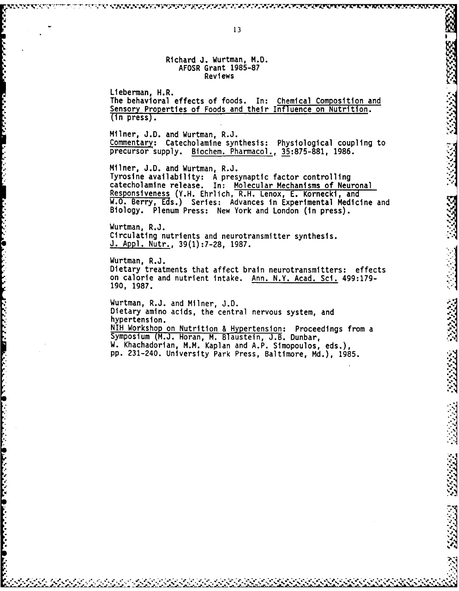#### Richard J. Wurtman, M.D. AFOSR Grant **1985-87** Reviews

Lieberman, H.R. The behavioral effects of foods. In: Chemical Composition and Sensory Properties of Foods and their Influence on Nutrition. (in press).

Milner, J.D. and Wurtman, R.J. Commentary: Catecholamine synthesis: Physiological coupling to precursor supply. Biochem. Pharmacol., 35:875-881, 1986.

Milner, J.D. and Wurtman, R.J. Tyrosine availability: A presynaptic factor controlling catecholamine release. In: Molecular Mechanisms of Neuronal Responsiveness (Y.H. Ehrlich, R.H. Lenox, E. Kornecki, and W.O. Berry, Eds.) Series: Advances in Experimental Medicine and Biology. Plenum Press: New York and London (in press).

Wurtman, R.J. Circulating nutrients and neurotransmitter synthesis. J. Appl. Nutr., 39(l):7-28, 1987.

Wurtman, R.J. Dietary treatments that affect brain neurotransmitters: effects on calorie and nutrient intake. Ann. N.Y. Acad. Sci. 499:179- 190, 1987.

Wurtman, R.J. and Milner, J.D. Dietary amino acids, the central nervous system, and hypertension. NIH Workshop on Nutrition & Hypertension: Proceedings from a<br>Symposium (M.J. Horan, M. Blaustein, J.B. Dunbar, W. Khachadorian, M.M. Kaplan and A.P. Simopoulos, eds.),<br>pp. 231-240. University Park Press, Baltimore, Md.), 1985.

**CONTRACTOR** 

**. ''i**